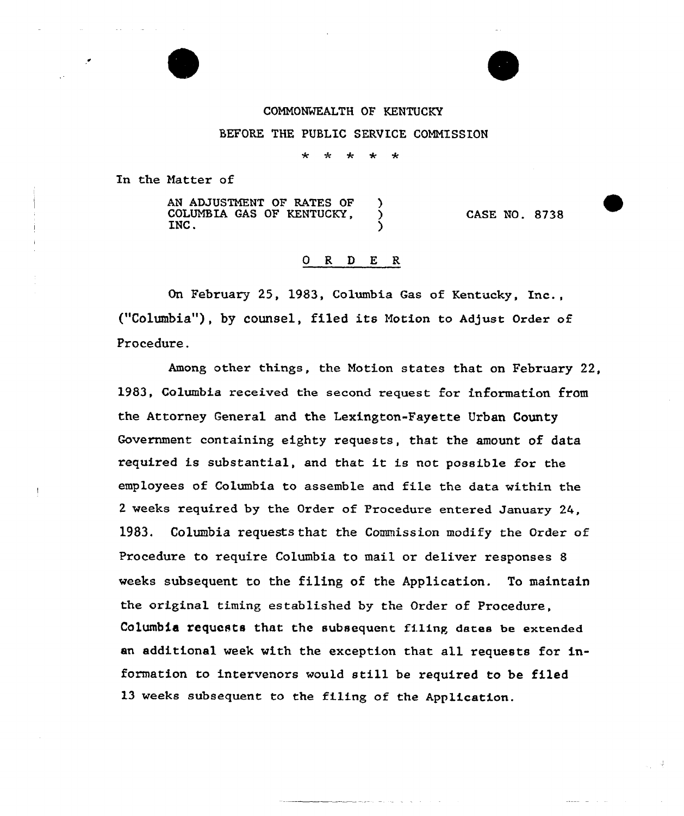## COMNONWEALTH OF KENTUCKY

## BEFORE THE PUBLIC SERVICE CONNISSION

 $\star$ 

In the Natter of

AN ADJUSTMENT OF RATES OF )<br>COLUMBIA GAS OF KENTUCKY, COLUMBIA GAS OF KENTUCKY,  $\bigcup_{i=1}^{n} X_i$ INC.  $\qquad \qquad$  ) CASE NO. 8738

## 0 R <sup>D</sup> E R

On February 25, 1983, Columbia Gas of Kentucky, Inc., ("Columbia"), by counsel, filed its Motion to Adjust Order of Procedure.

Among other things, the Notion states that on February 22, 1983, Columbia received the second request for information from the Attorney General and the Lexington-Fayette Urban County Government containing eighty requests, that the amount of data required is substantial, and that it is not possible for the employees of Columbia to assemble and file the data within the <sup>2</sup> weeks required by the Order of Procedure entered January 24, 1983. Columbia requests that the Commission modify the Order of Procedure to require Columbia to mail or deliver responses 8 weeks subsequent to the filing of the Application. To maintain the original timing established by the Order of Procedure, Columbia requests that the subsequent filing dates be extended an additional week with the exception that all requests for information to intervenors would still be required to be filed l3 weeks subsequent to the filing of the Application.